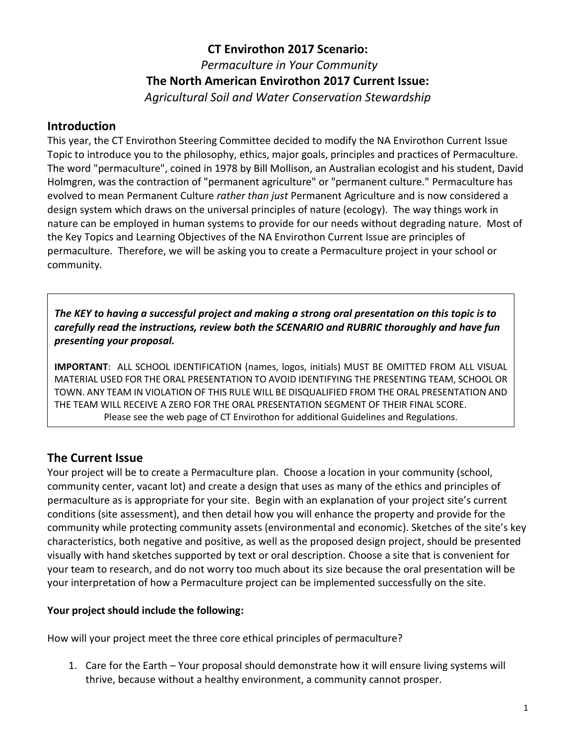# **CT Envirothon 2017 Scenario:** *Permaculture in Your Community* **The North American Envirothon 2017 Current Issue:**  *Agricultural Soil and Water Conservation Stewardship*

### **Introduction**

This year, the CT Envirothon Steering Committee decided to modify the NA Envirothon Current Issue Topic to introduce you to the philosophy, ethics, major goals, principles and practices of Permaculture. The word ["permaculture",](http://davesgarden.com/guides/terms/go/1214/) coined in 1978 by Bill Mollison, an Australian ecologist and his student, David Holmgren, was the contraction of "permanent agriculture" or "permanent culture." Permaculture has evolved to mean Permanent Culture *rather than just* Permanent Agriculture and is now considered a design system which draws on the universal principles of nature (ecology). The way things work in nature can be employed in human systems to provide for our needs without degrading nature. Most of the Key Topics and Learning Objectives of the NA Envirothon Current Issue are principles of permaculture. Therefore, we will be asking you to create a Permaculture project in your school or community.

*The KEY to having a successful project and making a strong oral presentation on this topic is to carefully read the instructions, review both the SCENARIO and RUBRIC thoroughly and have fun presenting your proposal.*

**IMPORTANT**: ALL SCHOOL IDENTIFICATION (names, logos, initials) MUST BE OMITTED FROM ALL VISUAL MATERIAL USED FOR THE ORAL PRESENTATION TO AVOID IDENTIFYING THE PRESENTING TEAM, SCHOOL OR TOWN. ANY TEAM IN VIOLATION OF THIS RULE WILL BE DISQUALIFIED FROM THE ORAL PRESENTATION AND THE TEAM WILL RECEIVE A ZERO FOR THE ORAL PRESENTATION SEGMENT OF THEIR FINAL SCORE. Please see the web page of CT Envirothon for additional Guidelines and Regulations.

## **The Current Issue**

Your project will be to create a Permaculture plan. Choose a location in your community (school, community center, vacant lot) and create a design that uses as many of the ethics and principles of permaculture as is appropriate for your site. Begin with an explanation of your project site's current conditions (site assessment), and then detail how you will enhance the property and provide for the community while protecting community assets (environmental and economic). Sketches of the site's key characteristics, both negative and positive, as well as the proposed design project, should be presented visually with hand sketches supported by text or oral description. Choose a site that is convenient for your team to research, and do not worry too much about its size because the oral presentation will be your interpretation of how a Permaculture project can be implemented successfully on the site.

#### **Your project should include the following:**

How will your project meet the three core ethical principles of permaculture?

1. Care for the Earth – Your proposal should demonstrate how it will ensure living systems will thrive, because without a healthy environment, a community cannot prosper.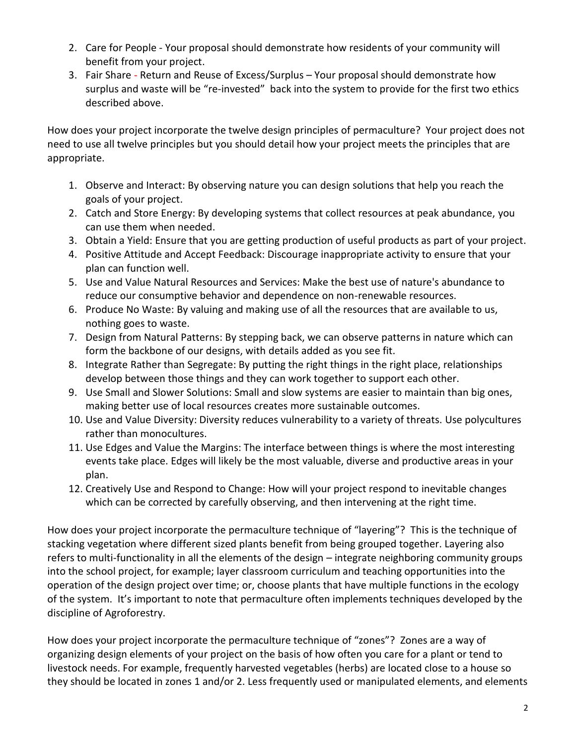- 2. Care for People Your proposal should demonstrate how residents of your community will benefit from your project.
- 3. Fair Share Return and Reuse of Excess/Surplus Your proposal should demonstrate how surplus and waste will be "re-invested" back into the system to provide for the first two ethics described above.

How does your project incorporate the twelve design principles of permaculture? Your project does not need to use all twelve principles but you should detail how your project meets the principles that are appropriate.

- 1. Observe and Interact: By observing nature you can design solutions that help you reach the goals of your project.
- 2. Catch and Store Energy: By developing systems that collect resources at peak abundance, you can use them when needed.
- 3. Obtain a Yield: Ensure that you are getting production of useful products as part of your project.
- 4. Positive Attitude and Accept Feedback: Discourage inappropriate activity to ensure that your plan can function well.
- 5. Use and Value Natural Resources and Services: Make the best use of nature's abundance to reduce our consumptive behavior and dependence on non-renewable resources.
- 6. Produce No Waste: By valuing and making use of all the resources that are available to us, nothing goes to waste.
- 7. Design from Natural Patterns: By stepping back, we can observe patterns in nature which can form the backbone of our designs, with details added as you see fit.
- 8. Integrate Rather than Segregate: By putting the right things in the right place, relationships develop between those things and they can work together to support each other.
- 9. Use Small and Slower Solutions: Small and slow systems are easier to maintain than big ones, making better use of local resources creates more sustainable outcomes.
- 10. Use and Value Diversity: Diversity reduces vulnerability to a variety of threats. Use polycultures rather than monocultures.
- 11. Use Edges and Value the Margins: The interface between things is where the most interesting events take place. Edges will likely be the most valuable, diverse and productive areas in your plan.
- 12. Creatively Use and Respond to Change: How will your project respond to inevitable changes which can be corrected by carefully observing, and then intervening at the right time.

How does your project incorporate the permaculture technique of "layering"? This is the technique of stacking vegetation where different sized plants benefit from being grouped together. Layering also refers to multi-functionality in all the elements of the design – integrate neighboring community groups into the school project, for example; layer classroom curriculum and teaching opportunities into the operation of the design project over time; or, choose plants that have multiple functions in the ecology of the system. It's important to note that permaculture often implements techniques developed by the discipline of Agroforestry.

How does your project incorporate the permaculture technique of "zones"? Zones are a way of organizing design elements of your project on the basis of how often you care for a plant or tend to livestock needs. For example, frequently harvested vegetables (herbs) are located close to a house so they should be located in zones 1 and/or 2. Less frequently used or manipulated elements, and elements